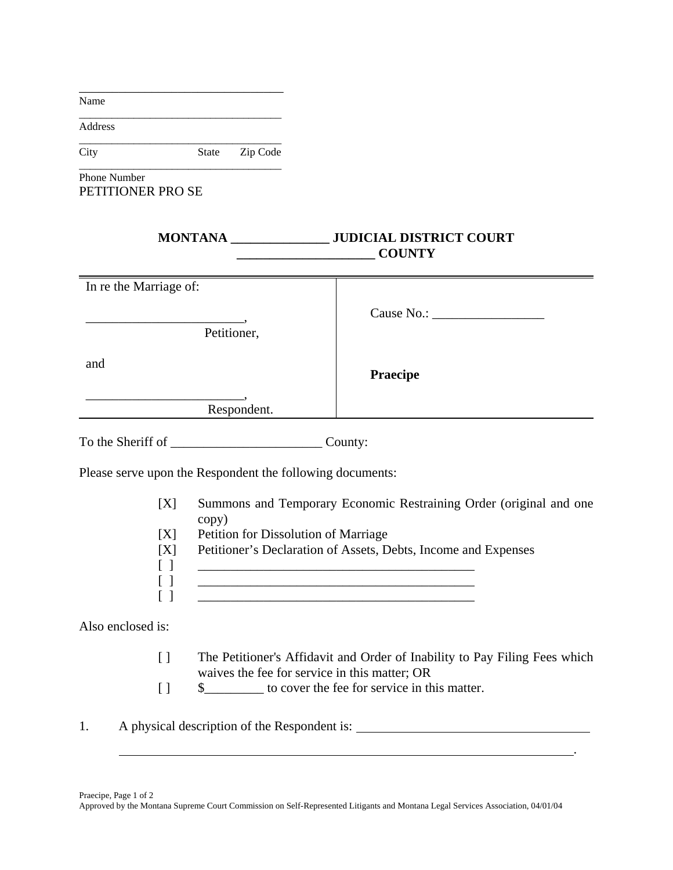| Name                                                      |                                                                                                                                        |                                                                                                                 |             |                                                             |                                                                    |
|-----------------------------------------------------------|----------------------------------------------------------------------------------------------------------------------------------------|-----------------------------------------------------------------------------------------------------------------|-------------|-------------------------------------------------------------|--------------------------------------------------------------------|
| Address                                                   |                                                                                                                                        |                                                                                                                 |             |                                                             |                                                                    |
| City                                                      |                                                                                                                                        | State                                                                                                           | Zip Code    |                                                             |                                                                    |
| Phone Number<br>PETITIONER PRO SE                         |                                                                                                                                        |                                                                                                                 |             |                                                             |                                                                    |
|                                                           |                                                                                                                                        |                                                                                                                 |             |                                                             | <b>COUNTY</b>                                                      |
| In re the Marriage of:                                    |                                                                                                                                        |                                                                                                                 |             |                                                             |                                                                    |
|                                                           |                                                                                                                                        |                                                                                                                 |             |                                                             |                                                                    |
|                                                           | Petitioner,                                                                                                                            |                                                                                                                 |             |                                                             |                                                                    |
| and                                                       |                                                                                                                                        |                                                                                                                 |             |                                                             | <b>Praecipe</b>                                                    |
|                                                           |                                                                                                                                        |                                                                                                                 | Respondent. |                                                             |                                                                    |
|                                                           |                                                                                                                                        |                                                                                                                 |             |                                                             |                                                                    |
| Please serve upon the Respondent the following documents: |                                                                                                                                        |                                                                                                                 |             |                                                             |                                                                    |
|                                                           | [X]                                                                                                                                    |                                                                                                                 |             |                                                             | Summons and Temporary Economic Restraining Order (original and one |
|                                                           | [X]<br>[X]<br>$\begin{bmatrix} 1 \end{bmatrix}$<br>$\left[ \begin{array}{c} \end{array} \right]$                                       | copy)<br>Petition for Dissolution of Marriage<br>Petitioner's Declaration of Assets, Debts, Income and Expenses |             |                                                             |                                                                    |
| Also enclosed is:                                         |                                                                                                                                        |                                                                                                                 |             |                                                             |                                                                    |
|                                                           | The Petitioner's Affidavit and Order of Inability to Pay Filing Fees which<br>$[ \ ]$<br>waives the fee for service in this matter; OR |                                                                                                                 |             |                                                             |                                                                    |
|                                                           | $[ \ ]$                                                                                                                                |                                                                                                                 |             | \$____________ to cover the fee for service in this matter. |                                                                    |
| 1.                                                        |                                                                                                                                        |                                                                                                                 |             |                                                             |                                                                    |